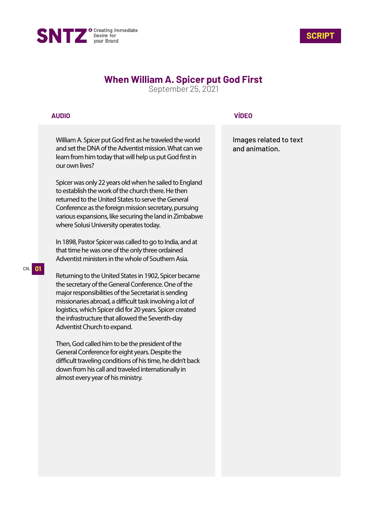



# **When William A. Spicer put God First**

September 25, 2021

## **AUDIO**

William A. Spicer put God first as he traveled the world and set the DNA of the Adventist mission. What can we learn from him today that will help us put God first in our own lives?

Spicer was only 22 years old when he sailed to England to establish the work of the church there. He then returned to the United States to serve the General Conference as the foreign mission secretary, pursuing various expansions, like securing the land in Zimbabwe where Solusi University operates today.

In 1898, Pastor Spicer was called to go to India, and at that time he was one of the only three ordained Adventist ministers in the whole of Southern Asia.

Returning to the United States in 1902, Spicer became the secretary of the General Conference. One of the major responsibilities of the Secretariat is sending missionaries abroad, a difficult task involving a lot of logistics, which Spicer did for 20 years. Spicer created the infrastructure that allowed the Seventh-day Adventist Church to expand.

Then, God called him to be the president of the General Conference for eight years. Despite the difficult traveling conditions of his time, he didn't back down from his call and traveled internationally in almost every year of his ministry.

# **VÍDEO**

Images related to text and animation.